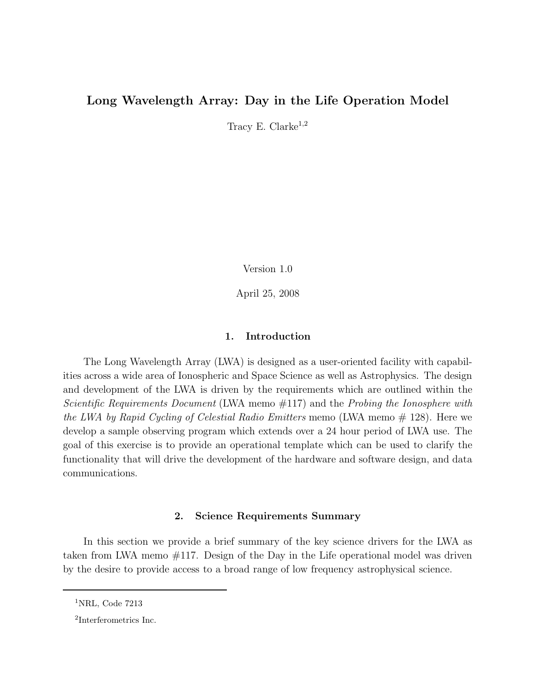# Long Wavelength Array: Day in the Life Operation Model

Tracy E. Clarke<sup>1,2</sup>

Version 1.0

April 25, 2008

### 1. Introduction

The Long Wavelength Array (LWA) is designed as a user-oriented facility with capabilities across a wide area of Ionospheric and Space Science as well as Astrophysics. The design and development of the LWA is driven by the requirements which are outlined within the Scientific Requirements Document (LWA memo #117) and the Probing the Ionosphere with the LWA by Rapid Cycling of Celestial Radio Emitters memo (LWA memo  $# 128$ ). Here we develop a sample observing program which extends over a 24 hour period of LWA use. The goal of this exercise is to provide an operational template which can be used to clarify the functionality that will drive the development of the hardware and software design, and data communications.

### 2. Science Requirements Summary

In this section we provide a brief summary of the key science drivers for the LWA as taken from LWA memo #117. Design of the Day in the Life operational model was driven by the desire to provide access to a broad range of low frequency astrophysical science.

 ${}^{1}$ NRL, Code 7213

<sup>2</sup> Interferometrics Inc.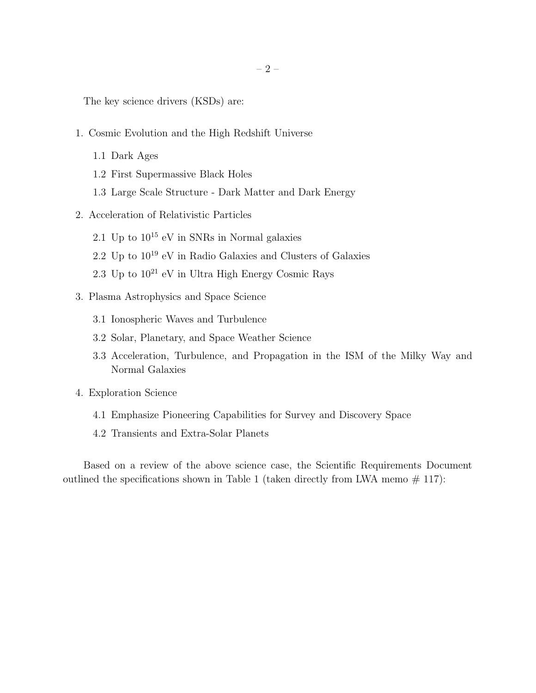The key science drivers (KSDs) are:

- 1. Cosmic Evolution and the High Redshift Universe
	- 1.1 Dark Ages
	- 1.2 First Supermassive Black Holes
	- 1.3 Large Scale Structure Dark Matter and Dark Energy
- 2. Acceleration of Relativistic Particles
	- 2.1 Up to  $10^{15}$  eV in SNRs in Normal galaxies
	- 2.2 Up to  $10^{19}$  eV in Radio Galaxies and Clusters of Galaxies
	- 2.3 Up to  $10^{21}$  eV in Ultra High Energy Cosmic Rays
- 3. Plasma Astrophysics and Space Science
	- 3.1 Ionospheric Waves and Turbulence
	- 3.2 Solar, Planetary, and Space Weather Science
	- 3.3 Acceleration, Turbulence, and Propagation in the ISM of the Milky Way and Normal Galaxies
- 4. Exploration Science
	- 4.1 Emphasize Pioneering Capabilities for Survey and Discovery Space
	- 4.2 Transients and Extra-Solar Planets

Based on a review of the above science case, the Scientific Requirements Document outlined the specifications shown in Table 1 (taken directly from LWA memo  $# 117$ ):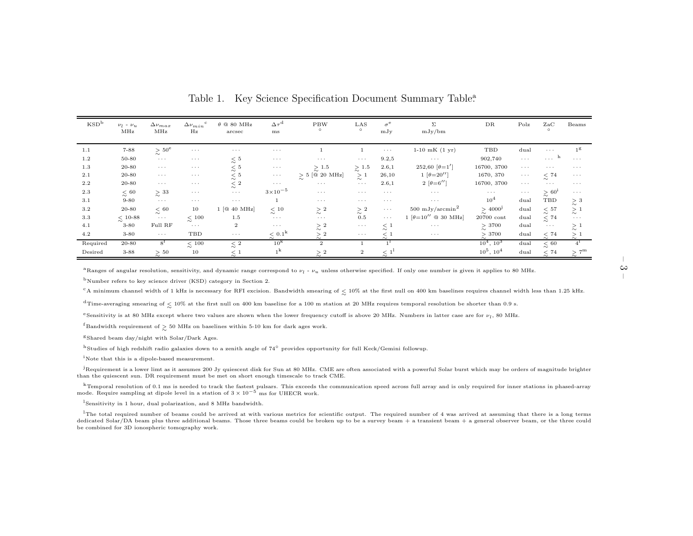| KSD <sup>b</sup> | $\nu_l$ - $\nu_u$<br>MHz | $\Delta\nu_{max}$<br>MHz           | $\Delta \nu_{min}$ <sup>c</sup><br>$_{\rm Hz}$ | $\theta \, \, \text{@ } 80 \, \, \text{MHz}$<br>arcsec | $\Delta \tau^{\rm d}$<br>ms    | <b>PBW</b><br>$\circ$ | LAS<br>$\circ$               | $\sigma^{\rm e}$<br>mJy    | Σ<br>mJy/bm                 | DR                     | Polz                 | ZaC<br>$\circ$            | Beams                   |
|------------------|--------------------------|------------------------------------|------------------------------------------------|--------------------------------------------------------|--------------------------------|-----------------------|------------------------------|----------------------------|-----------------------------|------------------------|----------------------|---------------------------|-------------------------|
| 1.1              | $7 - 88$                 | $\gtrsim\,50^{\rm e}$              | $\sim$ $\sim$ $\sim$                           | $\alpha \rightarrow -\infty$                           | $\cdots$                       |                       |                              | $\sim$ $\sim$ $\sim$       | $1-10$ mK $(1 \text{ yr})$  | TBD                    | dual                 | $\sim$ $\sim$ $\sim$      | 1 <sup>g</sup>          |
| 1.2              | 50-80                    | $\alpha$ , $\alpha$ , $\alpha$     | $\sim$ $\sim$ $\sim$                           | < 5<br>$\sim$                                          | $\cdots$                       | $\cdots$              | $\alpha \rightarrow -\alpha$ | 9.2,5                      | $\sim$ $\sim$ $\sim$        | 902,740                | $\sim$ $\sim$ $\sim$ | <b>Service</b>            | $\sim$ $\sim$ $\sim$    |
| 1.3              | $20 - 80$                | $\sim$ $\sim$ $\sim$               | $\cdots$                                       | $\lesssim$ $^5$                                        | $\sim$ $\sim$ $\sim$           | $\gtrsim$ 1.5         | $\gtrsim\,1.5$               | 2.6,1                      | 252,60 $\theta = 1'$        | 16700, 3700            | $\sim$ $\sim$ $\sim$ | $\cdots$                  | $\cdots$                |
| 2.1              | $20 - 80$                | $\sim$ $\sim$ $\sim$               | $\cdots$                                       | < 5<br>$\sim$                                          | $\sim$ $\sim$ $\sim$           | $> 5$ [@ 20 MHz]      | $\gtrsim$ $^1$               | 26,10                      | 1 $\theta = 20''$           | 1670, 370              | $\cdots$             | $<\,74$<br>$\sim$         | $\sim$ $\sim$ $\sim$    |
| $2.2\,$          | $20 - 80$                | $\sim$ $\sim$ $\sim$               | $\sim$ $\sim$ $\sim$                           | $\lesssim$ 2                                           | $\sim$ $\sim$ $\sim$           | $\sim$ $\sim$ $\sim$  | $\sim$ $\sim$ $\sim$         | 2.6,1                      | $2 [\theta = 6'']$          | 16700, 3700            | $\sim$ $\sim$ $\sim$ | $\sim$ $\sim$ $\sim$      | $\sim$ $\sim$ $\sim$    |
| 2.3              | $<\,60$<br>$\sim$        | $\gtrsim$ $^{33}$                  | $\sim 100$ km s $^{-1}$                        | $\sim$ $\sim$ $\sim$                                   | $3 \times 10^{-5}$             | $\sim$ $\sim$ $\sim$  | $\sim$ $\sim$ $\sim$         | $\cdots$                   | $\sim$ $\sim$ $\sim$        | $\cdots$               | $\sim$ $\sim$ $\sim$ | $\gtrsim$ 60 <sup>i</sup> | $\sim$ $\sim$ $\sim$    |
| 3.1              | $9 - 80$                 | $\sim$ $\sim$ $\sim$               | $\sim$ $\sim$ $\sim$                           | $\alpha \rightarrow -\infty$                           |                                | $\sim$ $\sim$ $\sim$  | $\sim$ $\sim$ $\sim$         | $\cdots$                   | $\sim$ $\sim$ $\sim$        | $10^{4}$               | dual                 | TBD                       | $\gtrsim$ $^3$          |
| $3.2\,$          | $20 - 80$                | $\lesssim\,60$                     | 10                                             | $1$ [ $@$ 40 MHz]                                      | $\lesssim$ 10                  | $\gtrsim$ $^2$        | $\gtrsim$ $^2$               | $\sim$ $\sim$ $\sim$       | 500 mJy/arcmin <sup>2</sup> | $\gtrsim 4000^{\rm j}$ | dual                 | $\lesssim\,57$            | $\gtrsim$ 1             |
| $3.3\,$          | $\lesssim$ 10-88         | $\sim$ $\sim$ $\sim$               | $\lesssim$ $100$                               | $1.5\,$                                                | $\alpha \rightarrow -\alpha$ . | $\sim$ $\sim$ $\sim$  | 0.5                          | $\sim$ $\sim$ $\sim$       | $1~[\theta=10''$ @ 30 MHz   | 20700 cont             | dual                 | $\lesssim\,74$            | $\sim$ $\sim$ $\sim$    |
| 4.1              | $3 - 80$                 | Full RF                            | $\sim$ $\sim$ $\sim$                           | $\boldsymbol{2}$                                       | $\alpha \rightarrow -\alpha$ . | $\gtrsim$ $^2$        | $\sim$ $\sim$ $\sim$         | $\lesssim$ 1               | $\cdots$ .                  | $\gtrsim$ 3700         | dual                 | $\sim$ $\sim$ $\sim$      | $\gtrsim$ 1             |
| 4.2              | $3 - 80$                 | $\alpha \rightarrow \alpha \gamma$ | TBD                                            | $\sim$ $\sim$ $\sim$                                   | $< 0.1^k$<br>$\sim$            | >2<br>$\sim$          | $\sim$ $\sim$ $\sim$         | $\lt 1$<br>$\sim$          | $\sim$ $\sim$ $\sim$        | >3700                  | dual                 | < 74<br>$\sim$            | >1<br>$\sim$            |
| Required         | $20 - 80$                | $8^{\rm f}$                        | $\lesssim$ $100$                               | $\lesssim$ $2$                                         | $10^{\rm k}$                   | $\boldsymbol{2}$      |                              |                            |                             | $10^4$ , $10^3$        | dual                 | $\lesssim\,60$            |                         |
| Desired          | $3 - 88$                 | > 50                               | 10                                             | $<$ 1<br>$\sim$                                        | 1 <sup>k</sup>                 | $\gtrsim$ 2           | $\mathbf{2}$                 | < 1 <sup>1</sup><br>$\sim$ |                             | $10^5, 10^4$           | dual                 | $<\,74$                   | $> 7^{\rm m}$<br>$\sim$ |

Table 1. Key Science Specification Document Summary Table<sup>3</sup>.

 $\rm{^{a}Ranges}$  of angular resolution, sensitivity, and dynamic range correspond to  $\nu_{l}$  -  $\nu_{u}$  unless otherwise specified. If only one number is given it applies to 80 MHz.

<sup>b</sup>Number refers to key science driver (KSD) category in Section 2.

 $^{\rm c}$ A minimum channel width of 1 kHz is necessary for RFI excision. Bandwidth smearing of  $\lesssim$  10% at the first null on 400 km baselines requires channel width less than 1.25 kHz.

 $^d$ Time-averaging smearing of  $\lesssim 10\%$  at the first null on 400 km baseline for a 100 m station at 20 MHz requires temporal resolution be shorter than 0.9 s.

eSensitivity is at 80 MHz except where two values are shown when the lower frequency cutoff is above 20 MHz. Numbers in latter case are for  $\nu_l$ , 80 MHz.

 $f$ Bandwidth requirement of  $\gtrsim 50$  MHz on baselines within 5-10 km for dark ages work.

<sup>g</sup>Shared beam day/night with Solar/Dark Ages.

<sup>h</sup>Studies of high redshift radio galaxies down to <sup>a</sup> zenith angle of <sup>74</sup>◦ provides opportunity for full Keck/Gemini followup.

<sup>i</sup>Note that this is a dipole-based measurement.

<sup>j</sup>Requirement is a lower limt as it assumes 200 Jy quiescent disk for Sun at 80 MHz. CME are often associated with a powerful Solar burst which may be orders of magnitude brighter than the quiescent sun. DR requirement must be met on short enough timescale to track CME.

<sup>k</sup>Temporal resolution of 0.1 ms is needed to track the fastest pulsars. This exceeds the communication speed across full array and is only required for inner stations in <sup>p</sup>hased-array mode. Require sampling at dipole level in a station of  $3 \times 10^{-5}$  ms for UHECR work.

<sup>l</sup>Sensitivity in <sup>1</sup> hour, dual polarization, and <sup>8</sup> MHz bandwidth.

 $^{\text{1}}$ The total required number of beams could be arrived at with various metrics for scientific output. The required number of 4 was arrived at assuming that there is a long terms dedicated Solar/DA beam <sup>p</sup>lus three additional beams. Those three beams could be broken up to be <sup>a</sup> survey beam + <sup>a</sup> transient beam + <sup>a</sup> genera<sup>l</sup> observer beam, or the three could be combined for 3D ionospheric tomography work.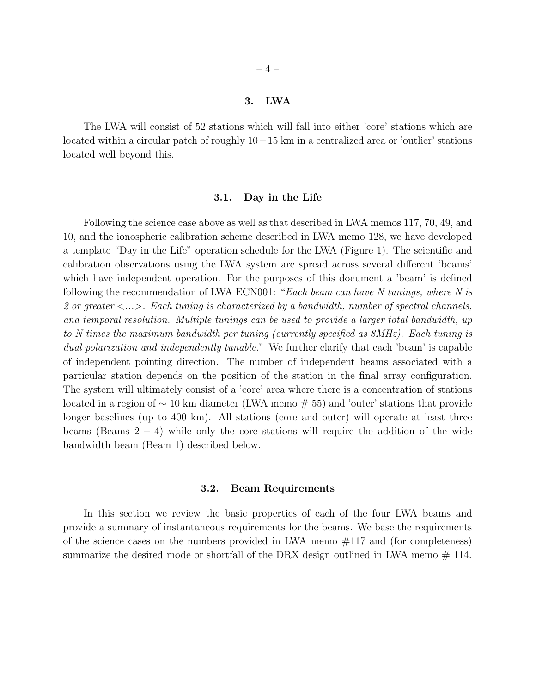#### 3. LWA

The LWA will consist of 52 stations which will fall into either 'core' stations which are located within a circular patch of roughly 10−15 km in a centralized area or 'outlier' stations located well beyond this.

### 3.1. Day in the Life

Following the science case above as well as that described in LWA memos 117, 70, 49, and 10, and the ionospheric calibration scheme described in LWA memo 128, we have developed a template "Day in the Life" operation schedule for the LWA (Figure 1). The scientific and calibration observations using the LWA system are spread across several different 'beams' which have independent operation. For the purposes of this document a 'beam' is defined following the recommendation of LWA ECN001: "Each beam can have N tunings, where N is 2 or greater  $\langle \ldots \rangle$ . Each tuning is characterized by a bandwidth, number of spectral channels, and temporal resolution. Multiple tunings can be used to provide a larger total bandwidth, up to N times the maximum bandwidth per tuning (currently specified as 8MHz). Each tuning is dual polarization and independently tunable." We further clarify that each 'beam' is capable of independent pointing direction. The number of independent beams associated with a particular station depends on the position of the station in the final array configuration. The system will ultimately consist of a 'core' area where there is a concentration of stations located in a region of ∼ 10 km diameter (LWA memo # 55) and 'outer' stations that provide longer baselines (up to 400 km). All stations (core and outer) will operate at least three beams (Beams  $2 - 4$ ) while only the core stations will require the addition of the wide bandwidth beam (Beam 1) described below.

#### 3.2. Beam Requirements

In this section we review the basic properties of each of the four LWA beams and provide a summary of instantaneous requirements for the beams. We base the requirements of the science cases on the numbers provided in LWA memo  $\#117$  and (for completeness) summarize the desired mode or shortfall of the DRX design outlined in LWA memo  $#$  114.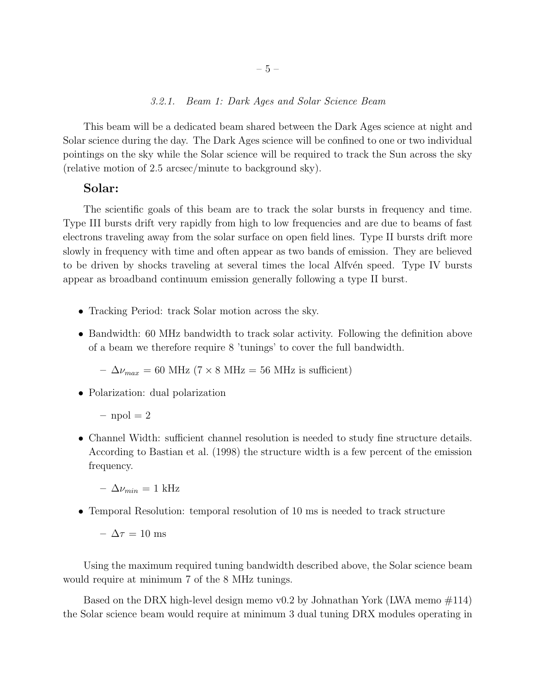### 3.2.1. Beam 1: Dark Ages and Solar Science Beam

This beam will be a dedicated beam shared between the Dark Ages science at night and Solar science during the day. The Dark Ages science will be confined to one or two individual pointings on the sky while the Solar science will be required to track the Sun across the sky (relative motion of 2.5 arcsec/minute to background sky).

## Solar:

The scientific goals of this beam are to track the solar bursts in frequency and time. Type III bursts drift very rapidly from high to low frequencies and are due to beams of fast electrons traveling away from the solar surface on open field lines. Type II bursts drift more slowly in frequency with time and often appear as two bands of emission. They are believed to be driven by shocks traveling at several times the local Alfvén speed. Type IV bursts appear as broadband continuum emission generally following a type II burst.

- Tracking Period: track Solar motion across the sky.
- Bandwidth: 60 MHz bandwidth to track solar activity. Following the definition above of a beam we therefore require 8 'tunings' to cover the full bandwidth.

 $- \Delta \nu_{max} = 60 \text{ MHz} (7 \times 8 \text{ MHz} = 56 \text{ MHz} \text{ is sufficient})$ 

- Polarization: dual polarization
	- $-$  npol  $= 2$
- Channel Width: sufficient channel resolution is needed to study fine structure details. According to Bastian et al. (1998) the structure width is a few percent of the emission frequency.
	- $-\Delta\nu_{min} = 1$  kHz
- Temporal Resolution: temporal resolution of 10 ms is needed to track structure

–  $\Delta \tau = 10$  ms

Using the maximum required tuning bandwidth described above, the Solar science beam would require at minimum 7 of the 8 MHz tunings.

Based on the DRX high-level design memo v0.2 by Johnathan York (LWA memo  $\#114$ ) the Solar science beam would require at minimum 3 dual tuning DRX modules operating in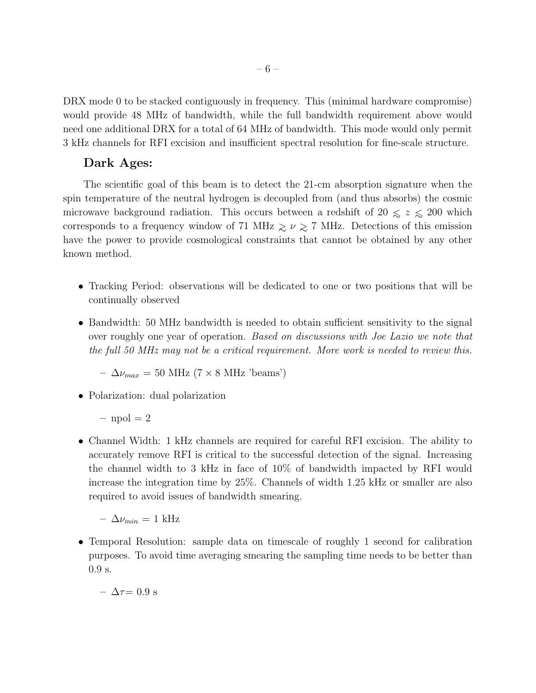DRX mode 0 to be stacked contiguously in frequency. This (minimal hardware compromise) would provide 48 MHz of bandwidth, while the full bandwidth requirement above would need one additional DRX for a total of 64 MHz of bandwidth. This mode would only permit 3 kHz channels for RFI excision and insufficient spectral resolution for fine-scale structure.

# Dark Ages:

The scientific goal of this beam is to detect the 21-cm absorption signature when the spin temperature of the neutral hydrogen is decoupled from (and thus absorbs) the cosmic microwave background radiation. This occurs between a redshift of  $20 \le z \le 200$  which corresponds to a frequency window of 71 MHz  $\gtrsim \nu \gtrsim 7$  MHz. Detections of this emission have the power to provide cosmological constraints that cannot be obtained by any other known method.

- Tracking Period: observations will be dedicated to one or two positions that will be continually observed
- Bandwidth: 50 MHz bandwidth is needed to obtain sufficient sensitivity to the signal over roughly one year of operation. Based on discussions with Joe Lazio we note that the full 50 MHz may not be a critical requirement. More work is needed to review this.

$$
-\Delta\nu_{max} = 50 \text{ MHz} (7 \times 8 \text{ MHz 'beams'})
$$

• Polarization: dual polarization

 $-$  npol  $= 2$ 

• Channel Width: 1 kHz channels are required for careful RFI excision. The ability to accurately remove RFI is critical to the successful detection of the signal. Increasing the channel width to 3 kHz in face of 10% of bandwidth impacted by RFI would increase the integration time by 25%. Channels of width 1.25 kHz or smaller are also required to avoid issues of bandwidth smearing.

 $- \Delta \nu_{min} = 1$  kHz

• Temporal Resolution: sample data on timescale of roughly 1 second for calibration purposes. To avoid time averaging smearing the sampling time needs to be better than 0.9 s.

$$
- \Delta \tau = 0.9 \text{ s}
$$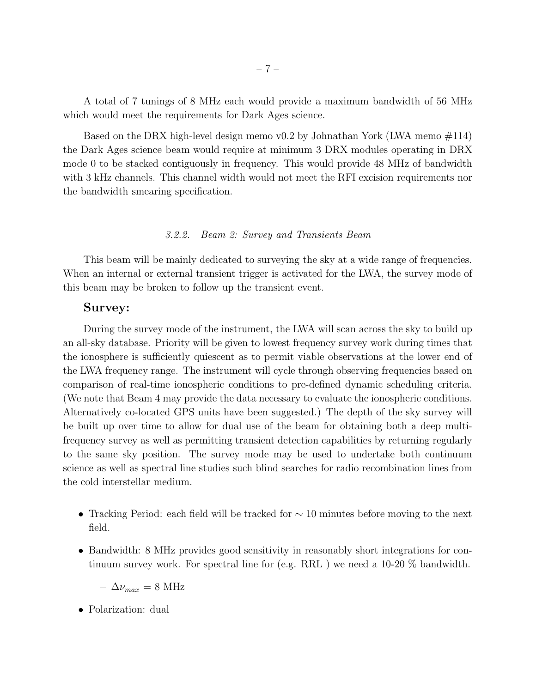A total of 7 tunings of 8 MHz each would provide a maximum bandwidth of 56 MHz which would meet the requirements for Dark Ages science.

Based on the DRX high-level design memo v0.2 by Johnathan York (LWA memo  $\#114$ ) the Dark Ages science beam would require at minimum 3 DRX modules operating in DRX mode 0 to be stacked contiguously in frequency. This would provide 48 MHz of bandwidth with 3 kHz channels. This channel width would not meet the RFI excision requirements nor the bandwidth smearing specification.

### 3.2.2. Beam 2: Survey and Transients Beam

This beam will be mainly dedicated to surveying the sky at a wide range of frequencies. When an internal or external transient trigger is activated for the LWA, the survey mode of this beam may be broken to follow up the transient event.

## Survey:

During the survey mode of the instrument, the LWA will scan across the sky to build up an all-sky database. Priority will be given to lowest frequency survey work during times that the ionosphere is sufficiently quiescent as to permit viable observations at the lower end of the LWA frequency range. The instrument will cycle through observing frequencies based on comparison of real-time ionospheric conditions to pre-defined dynamic scheduling criteria. (We note that Beam 4 may provide the data necessary to evaluate the ionospheric conditions. Alternatively co-located GPS units have been suggested.) The depth of the sky survey will be built up over time to allow for dual use of the beam for obtaining both a deep multifrequency survey as well as permitting transient detection capabilities by returning regularly to the same sky position. The survey mode may be used to undertake both continuum science as well as spectral line studies such blind searches for radio recombination lines from the cold interstellar medium.

- Tracking Period: each field will be tracked for  $\sim$  10 minutes before moving to the next field.
- Bandwidth: 8 MHz provides good sensitivity in reasonably short integrations for continuum survey work. For spectral line for (e.g. RRL ) we need a 10-20 % bandwidth.

 $- \Delta \nu_{max} = 8 \text{ MHz}$ 

• Polarization: dual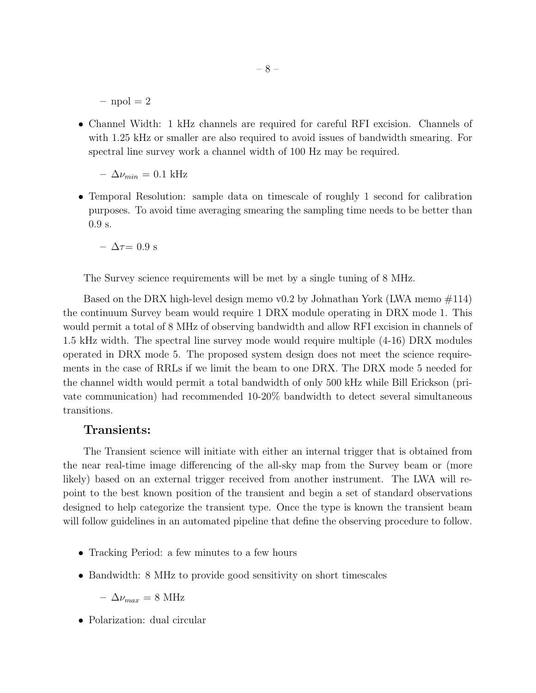$-$  npol  $= 2$ 

• Channel Width: 1 kHz channels are required for careful RFI excision. Channels of with 1.25 kHz or smaller are also required to avoid issues of bandwidth smearing. For spectral line survey work a channel width of 100 Hz may be required.

–  $\Delta\nu_{min} = 0.1$  kHz

• Temporal Resolution: sample data on timescale of roughly 1 second for calibration purposes. To avoid time averaging smearing the sampling time needs to be better than 0.9 s.

 $- \Delta \tau = 0.9$  s

The Survey science requirements will be met by a single tuning of 8 MHz.

Based on the DRX high-level design memo v0.2 by Johnathan York (LWA memo  $\#114$ ) the continuum Survey beam would require 1 DRX module operating in DRX mode 1. This would permit a total of 8 MHz of observing bandwidth and allow RFI excision in channels of 1.5 kHz width. The spectral line survey mode would require multiple (4-16) DRX modules operated in DRX mode 5. The proposed system design does not meet the science requirements in the case of RRLs if we limit the beam to one DRX. The DRX mode 5 needed for the channel width would permit a total bandwidth of only 500 kHz while Bill Erickson (private communication) had recommended 10-20% bandwidth to detect several simultaneous transitions.

## Transients:

The Transient science will initiate with either an internal trigger that is obtained from the near real-time image differencing of the all-sky map from the Survey beam or (more likely) based on an external trigger received from another instrument. The LWA will repoint to the best known position of the transient and begin a set of standard observations designed to help categorize the transient type. Once the type is known the transient beam will follow guidelines in an automated pipeline that define the observing procedure to follow.

- Tracking Period: a few minutes to a few hours
- Bandwidth: 8 MHz to provide good sensitivity on short timescales

 $- \Delta \nu_{max} = 8 \text{ MHz}$ 

• Polarization: dual circular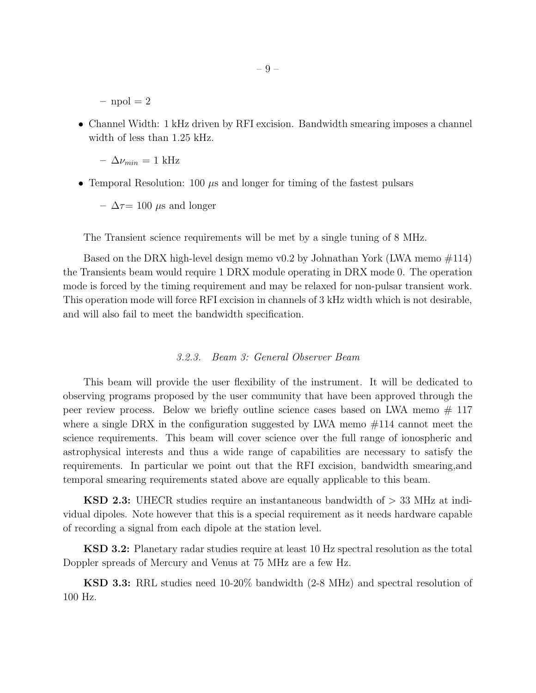$-$  npol  $= 2$ 

• Channel Width: 1 kHz driven by RFI excision. Bandwidth smearing imposes a channel width of less than 1.25 kHz.

 $-\Delta\nu_{min} = 1$  kHz

• Temporal Resolution: 100  $\mu$ s and longer for timing of the fastest pulsars

 $\Delta \tau = 100 \mu s$  and longer

The Transient science requirements will be met by a single tuning of 8 MHz.

Based on the DRX high-level design memo v0.2 by Johnathan York (LWA memo  $\#114$ ) the Transients beam would require 1 DRX module operating in DRX mode 0. The operation mode is forced by the timing requirement and may be relaxed for non-pulsar transient work. This operation mode will force RFI excision in channels of 3 kHz width which is not desirable, and will also fail to meet the bandwidth specification.

### 3.2.3. Beam 3: General Observer Beam

This beam will provide the user flexibility of the instrument. It will be dedicated to observing programs proposed by the user community that have been approved through the peer review process. Below we briefly outline science cases based on LWA memo  $#117$ where a single DRX in the configuration suggested by LWA memo  $\#114$  cannot meet the science requirements. This beam will cover science over the full range of ionospheric and astrophysical interests and thus a wide range of capabilities are necessary to satisfy the requirements. In particular we point out that the RFI excision, bandwidth smearing,and temporal smearing requirements stated above are equally applicable to this beam.

KSD 2.3: UHECR studies require an instantaneous bandwidth of > 33 MHz at individual dipoles. Note however that this is a special requirement as it needs hardware capable of recording a signal from each dipole at the station level.

KSD 3.2: Planetary radar studies require at least 10 Hz spectral resolution as the total Doppler spreads of Mercury and Venus at 75 MHz are a few Hz.

KSD 3.3: RRL studies need 10-20% bandwidth (2-8 MHz) and spectral resolution of 100 Hz.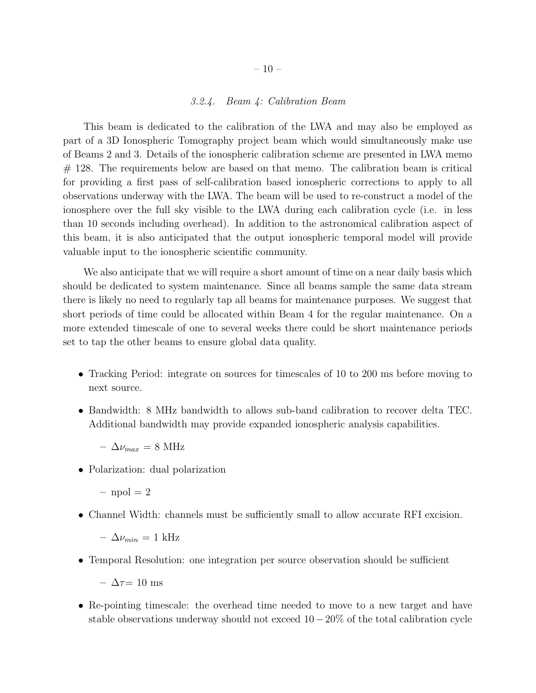### 3.2.4. Beam 4: Calibration Beam

This beam is dedicated to the calibration of the LWA and may also be employed as part of a 3D Ionospheric Tomography project beam which would simultaneously make use of Beams 2 and 3. Details of the ionospheric calibration scheme are presented in LWA memo  $#$  128. The requirements below are based on that memo. The calibration beam is critical for providing a first pass of self-calibration based ionospheric corrections to apply to all observations underway with the LWA. The beam will be used to re-construct a model of the ionosphere over the full sky visible to the LWA during each calibration cycle (i.e. in less than 10 seconds including overhead). In addition to the astronomical calibration aspect of this beam, it is also anticipated that the output ionospheric temporal model will provide valuable input to the ionospheric scientific community.

We also anticipate that we will require a short amount of time on a near daily basis which should be dedicated to system maintenance. Since all beams sample the same data stream there is likely no need to regularly tap all beams for maintenance purposes. We suggest that short periods of time could be allocated within Beam 4 for the regular maintenance. On a more extended timescale of one to several weeks there could be short maintenance periods set to tap the other beams to ensure global data quality.

- Tracking Period: integrate on sources for timescales of 10 to 200 ms before moving to next source.
- Bandwidth: 8 MHz bandwidth to allows sub-band calibration to recover delta TEC. Additional bandwidth may provide expanded ionospheric analysis capabilities.
	- $\Delta \nu_{max} = 8 \text{ MHz}$
- Polarization: dual polarization

 $-$  npol  $= 2$ 

• Channel Width: channels must be sufficiently small to allow accurate RFI excision.

 $-\Delta\nu_{min} = 1$  kHz

• Temporal Resolution: one integration per source observation should be sufficient

–  $\Delta \tau = 10$  ms

• Re-pointing timescale: the overhead time needed to move to a new target and have stable observations underway should not exceed  $10-20\%$  of the total calibration cycle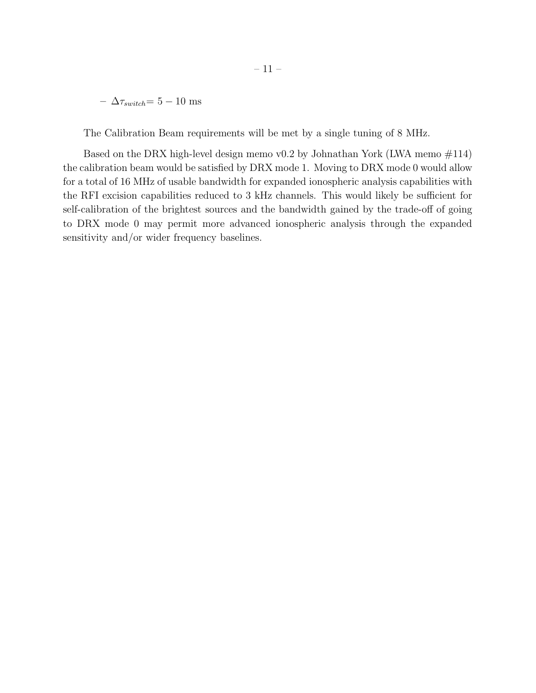$- \Delta \tau_{switch} = 5 - 10$  ms

The Calibration Beam requirements will be met by a single tuning of 8 MHz.

Based on the DRX high-level design memo v0.2 by Johnathan York (LWA memo  $\#114$ ) the calibration beam would be satisfied by DRX mode 1. Moving to DRX mode 0 would allow for a total of 16 MHz of usable bandwidth for expanded ionospheric analysis capabilities with the RFI excision capabilities reduced to 3 kHz channels. This would likely be sufficient for self-calibration of the brightest sources and the bandwidth gained by the trade-off of going to DRX mode 0 may permit more advanced ionospheric analysis through the expanded sensitivity and/or wider frequency baselines.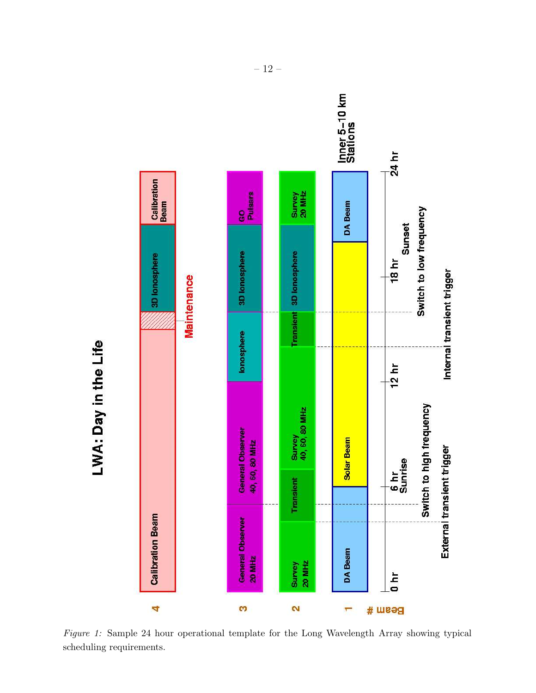

Figure 1: Sample 24 hour operational template for the Long Wavelength Array showing typical scheduling requirements.